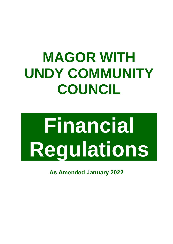## **MAGOR WITH UNDY COMMUNITY COUNCIL**

# **Financial Regulations**

**As Amended January 2022**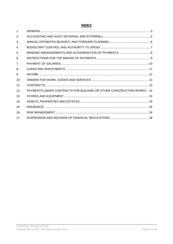### **INDEX**

| 1 <sub>1</sub> |                                                                      |  |
|----------------|----------------------------------------------------------------------|--|
| 2.             |                                                                      |  |
| 3.             |                                                                      |  |
| 4.             |                                                                      |  |
| 5.             |                                                                      |  |
| 6.             |                                                                      |  |
| 7 <sub>1</sub> |                                                                      |  |
| 8.             |                                                                      |  |
| 9.             |                                                                      |  |
| 10.            |                                                                      |  |
| 11.            |                                                                      |  |
| 12.            | PAYMENTS UNDER CONTRACTS FOR BUILDING OR OTHER CONSTRUCTION WORKS 14 |  |
| 13.            |                                                                      |  |
| 14.            |                                                                      |  |
| 15.            |                                                                      |  |
| 16.            |                                                                      |  |
| 17.            |                                                                      |  |
|                |                                                                      |  |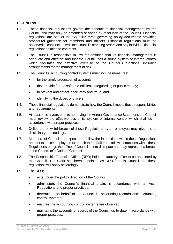#### <span id="page-2-0"></span>**1. GENERAL**

- 1.1. These financial regulations govern the conduct of financial management by the Council and may only be amended or varied by resolution of the Council. Financial regulations are one of the Council's three governing policy documents providing procedural guidance for members and officers. Financial regulations must be observed in conjunction with the Council's standing orders and any individual financial regulations relating to contracts.
- 1.2. The Council is responsible in law for ensuring that its financial management is adequate and effective and that the Council has a sound system of internal control which facilitates the effective exercise of the Council's functions, including arrangements for the management of risk.
- 1.3. The Council's accounting control systems must include measures:
	- for the timely production of accounts:
	- that provide for the safe and efficient safeguarding of public money;
	- to prevent and detect inaccuracy and fraud; and
	- identifying the duties of officers.
- 1.4. These financial regulations demonstrate how the Council meets these responsibilities and requirements.
- 1.5. At least once a year, prior to approving the Annual Governance Statement, the Council must review the effectiveness of its system of internal control which shall be in accordance with proper practices.
- 1.6. Deliberate or wilful breach of these Regulations by an employee may give rise to disciplinary proceedings.
- 1.7. Members of Council are expected to follow the instructions within these Regulations and not to entice employees to breach them. Failure to follow instructions within these Regulations brings the office of Councillor into disrepute and may represent a breach in the Councillor's Code of Conduct
- 1.8. The Responsible Financial Officer (RFO) holds a statutory office to be appointed by the Council. The Clerk has been appointed as RFO for this Council and these regulations will apply accordingly.
- 1.9. The RFO;
	- acts under the policy direction of the Council;
	- administers the Council's financial affairs in accordance with all Acts, Regulations and proper practices;
	- determines on behalf of the Council its accounting records and accounting control systems;
	- ensures the accounting control systems are observed;
	- maintains the accounting records of the Council up to date in accordance with proper practices;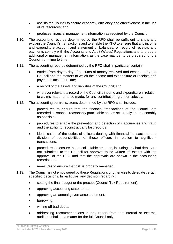- assists the Council to secure economy, efficiency and effectiveness in the use of its resources; and
- produces financial management information as required by the Council.
- 1.10. The accounting records determined by the RFO shall be sufficient to show and explain the Council's transactions and to enable the RFO to ensure that any income and expenditure account and statement of balances, or record of receipts and payments comply with the Accounts and Audit (Wales) Regulations and to prepare additional or management information, as the case may be, to be prepared for the Council from time to time.
- 1.11. The accounting records determined by the RFO shall in particular contain:
	- entries from day to day of all sums of money received and expended by the Council and the matters to which the income and expenditure or receipts and payments account relate;
	- a record of the assets and liabilities of the Council; and
	- wherever relevant, a record of the Council's income and expenditure in relation to claims made, or to be made, for any contribution, grant or subsidy.
- 1.12. The accounting control systems determined by the RFO shall include:
	- procedures to ensure that the financial transactions of the Council are recorded as soon as reasonably practicable and as accurately and reasonably as possible;
	- procedures to enable the prevention and detection of inaccuracies and fraud and the ability to reconstruct any lost records;
	- identification of the duties of officers dealing with financial transactions and division of responsibilities of those officers in relation to significant transactions;
	- procedures to ensure that uncollectable amounts, including any bad debts are not submitted to the Council for approval to be written off except with the approval of the RFO and that the approvals are shown in the accounting records; and
	- measures to ensure that risk is properly managed.
- 1.13. The Council is not empowered by these Regulations or otherwise to delegate certain specified decisions. In particular, any decision regarding:
	- setting the final budget or the precept (Council Tax Requirement);
	- approving accounting statements;
	- approving an annual governance statement;
	- borrowing;
	- writing off bad debts;
	- addressing recommendations in any report from the internal or external auditors, shall be a matter for the full Council only.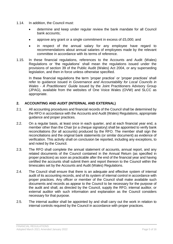- 1.14. In addition, the Council must:
	- determine and keep under regular review the bank mandate for all Council bank accounts;
	- approve any grant or a single commitment in excess of £5,000; and
	- in respect of the annual salary for any employee have regard to recommendations about annual salaries of employees made by the relevant committee in accordance with its terms of reference.
- 1.15. In these financial regulations, references to the Accounts and Audit (Wales) Regulations or 'the regulations' shall mean the regulations issued under the provisions of section 39 of the Public Audit (Wales) Act 2004, or any superseding legislation, and then in force unless otherwise specified.

In these financial regulations the term 'proper practice' or 'proper practices' shall refer to guidance issued in *Governance and Accountability for Local Councils in Wales - A Practitioners' Guide* issued by the Joint Practitioners Advisory Group (JPAG), available from the websites of One Voice Wales (OVW) and SLCC as appropriate.

#### <span id="page-4-0"></span>**2. ACCOUNTING AND AUDIT (INTERNAL AND EXTERNAL)**

- 2.1. All accounting procedures and financial records of the Council shall be determined by the RFO in accordance with the Accounts and Audit (Wales) Regulations, appropriate guidance and proper practices.
- 2.2. On a regular basis, at least once in each quarter, and at each financial year end, a member other than the Chair [or a cheque signatory] shall be appointed to verify bank reconciliations (for all accounts) produced by the RFO. The member shall sign the reconciliations and the original bank statements (or similar document) as evidence of verification. This activity shall on conclusion be reported, including any exceptions, to and noted by the Council.
- 2.3. The RFO shall complete the annual statement of accounts, annual report, and any related documents of the Council contained in the Annual Return (as specified in proper practices) as soon as practicable after the end of the financial year and having certified the accounts shall submit them and report thereon to the Council within the timescales set by the Accounts and Audit (Wales) Regulations.
- 2.4. The Council shall ensure that there is an adequate and effective system of internal audit of its accounting records, and of its system of internal control in accordance with proper practices. Any officer or member of the Council shall make available such documents and records as appear to the Council to be necessary for the purpose of the audit and shall, as directed by the Council, supply the RFO, internal auditor, or external auditor with such information and explanation as the Council considers necessary for that purpose.
- 2.5. The internal auditor shall be appointed by and shall carry out the work in relation to internal controls required by the Council in accordance with proper practices.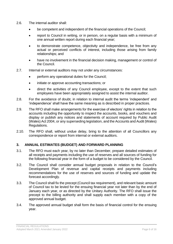- 2.6. The internal auditor shall:
	- be competent and independent of the financial operations of the Council;
	- report to Council in writing, or in person, on a regular basis with a minimum of one annual written report during each financial year;
	- to demonstrate competence, objectivity and independence, be free from any actual or perceived conflicts of interest, including those arising from family relationships; and
	- have no involvement in the financial decision making, management or control of the Council.
- 2.7. Internal or external auditors may not under any circumstances:
	- perform any operational duties for the Council;
	- initiate or approve accounting transactions; or
	- direct the activities of any Council employee, except to the extent that such employees have been appropriately assigned to assist the internal auditor.
- 2.8. For the avoidance of doubt, in relation to internal audit the terms 'independent' and 'independence' shall have the same meaning as is described in proper practices.
- 2.9. The RFO shall make arrangements for the exercise of electors' rights in relation to the accounts including the opportunity to inspect the accounts, books, and vouchers and display or publish any notices and statements of account required by Public Audit (Wales) Act 2004, or any superseding legislation, and the Accounts and Audit (Wales) Regulations.
- 2.10. The RFO shall, without undue delay, bring to the attention of all Councillors any correspondence or report from internal or external auditors.

#### <span id="page-5-0"></span>**3. ANNUAL ESTIMATES (BUDGET) AND FORWARD PLANNING**

- 3.1. The RFO must each year, by no later than December, prepare detailed estimates of all receipts and payments including the use of reserves and all sources of funding for the following financial year in the form of a budget to be considered by the Council.
- 3.2. The Council shall consider annual budget proposals in relation to the Council's Development Plan of revenue and capital receipts and payments including recommendations for the use of reserves and sources of funding and update the forecast accordingly.
- 3.3. The Council shall fix the precept (Council tax requirement), and relevant basic amount of Council tax to be levied for the ensuing financial year not later than by the end of January each year, or as directed by the Unitary Authority. The RFO shall issue the precept to the billing authority and shall supply each member with a copy of the approved annual budget.
- <span id="page-5-1"></span>3.4. The approved annual budget shall form the basis of financial control for the ensuing year.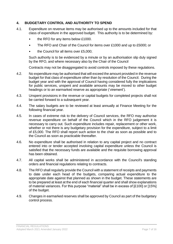#### **4. BUDGETARY CONTROL AND AUTHORITY TO SPEND**

- 4.1. Expenditure on revenue items may be authorised up to the amounts included for that class of expenditure in the approved budget. This authority is to be determined by:
	- the RFO for any items below £1000.
	- The RFO and Chair of the Council for items over £1000 and up to £5000; or
	- the Council for all items over £5,000;

Such authority is to be evidenced by a minute or by an authorisation slip duly signed by the RFO, and where necessary also by the Chair of the Council

Contracts may not be disaggregated to avoid controls imposed by these regulations.

- 4.2. No expenditure may be authorised that will exceed the amount provided in the revenue budget for that class of expenditure other than by resolution of the Council. During the budget year and with the approval of Council having considered fully the implications for public services, unspent and available amounts may be moved to other budget headings or to an earmarked reserve as appropriate ('virement').
- 4.3. Unspent provisions in the revenue or capital budgets for completed projects shall not be carried forward to a subsequent year.
- 4.4. The salary budgets are to be reviewed at least annually at Finance Meeting for the following financial year.
- 4.5. In cases of extreme risk to the delivery of Council services, the RFO may authorise revenue expenditure on behalf of the Council which in the RFO judgement it is necessary to carry out. Such expenditure includes repair, replacement or other work, whether or not there is any budgetary provision for the expenditure, subject to a limit of £5,000. The RFO shall report such action to the chair as soon as possible and to the Council as soon as practicable thereafter.
- 4.6. No expenditure shall be authorised in relation to any capital project and no contract entered into or tender accepted involving capital expenditure unless the Council is satisfied that the necessary funds are available and the requisite borrowing approval has been obtained.
- 4.7. All capital works shall be administered in accordance with the Council's standing orders and financial regulations relating to contracts.
- 4.8. The RFO shall regularly provide the Council with a statement of receipts and payments to date under each head of the budgets, comparing actual expenditure to the appropriate date against that planned as shown in the budget. These statements are to be prepared at least at the end of each financial quarter and shall show explanations of material variances. For this purpose "material" shall be in excess of [£100] or [15%] of the budget.
- <span id="page-6-0"></span>4.9. Changes in earmarked reserves shall be approved by Council as part of the budgetary control process.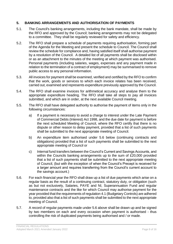#### **5. BANKING ARRANGEMENTS AND AUTHORISATION OF PAYMENTS**

- 5.1. The Council's banking arrangements, including the bank mandate, shall be made by the RFO and approved by the Council; banking arrangements may not be delegated to a committee. They shall be regularly reviewed for safety and efficiency.
- 5.2. The RFO shall prepare a schedule of payments requiring authorisation, forming part of the Agenda for the Meeting and present the schedule to Council. The Council shall review the schedule for compliance and, having satisfied itself shall authorise payment by a resolution of the Council. A detailed list of all payments shall be disclosed within or as an attachment to the minutes of the meeting at which payment was authorised. Personal payments (including salaries, wages, expenses and any payment made in relation to the termination of a contract of employment) may be summarised to remove public access to any personal information.
- 5.3. All invoices for payment shall be examined, verified and certified by the RFO to confirm that the work, goods or services to which each invoice relates has been received, carried out, examined and represents expenditure previously approved by the Council.
- 5.4. The RFO shall examine invoices for arithmetical accuracy and analyse them to the appropriate expenditure heading. The RFO shall take all steps to pay all invoices submitted, and which are in order, at the next available Council meeting.
- 5.5. The RFO shall have delegated authority to authorise the payment of items only in the following circumstances:
	- a) If a payment is necessary to avoid a charge to interest under the Late Payment of Commercial Debts (Interest) Act 1998, and the due date for payment is before the next scheduled Meeting of Council, where the RFO certify that there is no dispute or other reason to delay payment, provided that a list of such payments shall be submitted to the next appropriate meeting of Council.
	- b) An expenditure item authorised under 5.6 below (continuing contracts and obligations) provided that a list of such payments shall be submitted to the next appropriate meeting of Council or
	- c) Internal fund transfers between the Council's Current and Savings Accounts, and within the Councils banking arrangements up to the sum of £20,000 provided that a list of such payments shall be submitted to the next appropriate meeting of Council, (but with the exception of when the Council's Precept is received for a larger amount and requires transferring from the Council's current account to the savings account.)
- 5.6. For each financial year the RFO shall draw up a list of due payments which arise on a regular basis as the result of a continuing contract, statutory duty, or obligation (such as but not exclusively, Salaries, PAYE and NI, Superannuation Fund and regular maintenance contracts and the like for which Council may authorise payment for the year provided that the requirements of regulation 4.1 (Budgetary Controls) are adhered to, provided also that a list of such payments shall be submitted to the next appropriate meeting of Council.
- 5.7. A record of regular payments made under 5.6 above shall be drawn up and be signed by two members on each and every occasion when payment is authorised - thus controlling the risk of duplicated payments being authorised and / or made.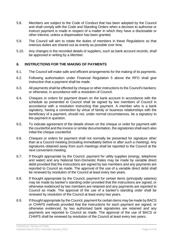- 5.8. Members are subject to the Code of Conduct that has been adopted by the Council and shall comply with the Code and Standing Orders when a decision to authorise or instruct payment is made in respect of a matter in which they have a disclosable or other interest, unless a dispensation has been granted.
- 5.9. The Council will aim to rotate the duties of members in these Regulations so that onerous duties are shared out as evenly as possible over time.
- 5.10. Any changes in the recorded details of suppliers, such as bank account records, shall be approved in writing by a Member.

#### <span id="page-8-0"></span>**6. INSTRUCTIONS FOR THE MAKING OF PAYMENTS**

- 6.1. The Council will make safe and efficient arrangements for the making of its payments.
- 6.2. Following authorisation under Financial Regulation 5 above the RFO shall give instruction that a payment shall be made.
- 6.3. All payments shall be effected by cheque or other instructions to the Council's bankers; or otherwise, in accordance with a resolution of Council.
- 6.4. Cheques or orders for payment drawn on the bank account in accordance with the schedule as presented to Council shall be signed by two members of Council in accordance with a resolution instructing that payment. A member who is a bank signatory, having a connection by virtue of family or business relationships with the beneficiary of a payment, should not, under normal circumstances, be a signatory to the payment in question.
- 6.5. To indicate agreement of the details shown on the cheque or order for payment with the counterfoil and the invoice or similar documentation, the signatories shall each also initial the cheque counterfoil.
- 6.6. Cheques or orders for payment shall not normally be presented for signature other than at a Council meeting (including immediately before or after such a meeting). Any signatures obtained away from such meetings shall be reported to the Council at the next convenient meeting.
- 6.7. If thought appropriate by the Council, payment for utility supplies (energy, telephone and water) and any National Non-Domestic Rates may be made by variable direct debit provided that the instructions are signed by two members and any payments are reported to Council as made. The approval of the use of a variable direct debit shall be renewed by resolution of the Council at least every two years.
- 6.8. If thought appropriate by the Council, payment for certain items (principally salaries) may be made by banker's standing order provided that the instructions are signed, or otherwise evidenced by two members are retained and any payments are reported to Council as made. The approval of the use of a banker's standing order shall be renewed by resolution of the Council at least every two years.
- 6.9. If thought appropriate by the Council, payment for certain items may be made by BACS or CHAPS methods provided that the instructions for each payment are signed, or otherwise evidenced, by two authorised bank signatories are retained and any payments are reported to Council as made. The approval of the use of BACS or CHAPS shall be renewed by resolution of the Council at least every two years.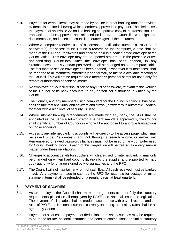- 6.10. Payment for certain items may be made by on-line internet banking transfer provided evidence is retained showing which members approved the payment. The clerk raises the payment of an invoice via on-line banking and prints a copy of the transaction. The transaction is then approved and released on-line by one Councillor who signs the documentation, and a second councillor countersigns all the documents.
- 6.11. Where a computer requires use of a personal identification number (PIN) or other password(s), for access to the Council's records on that computer, a note shall be made of the PIN and Passwords and shall be held in a sealed dated envelope at the Council office. This envelope may not be opened other than in the presence of two non-conflicting Councillors. After the envelope has been opened, in any circumstances, the PIN and/or passwords shall be changed as soon as practicable. The fact that the sealed envelope has been opened, in whatever circumstances, shall be reported to all members immediately and formally to the next available meeting of the Council. This will not be required for a member's personal computer used only for remote authorisation of bank payments.
- 6.12. No employee or Councillor shall disclose any PIN or password, relevant to the working of the Council or its bank accounts, to any person not authorised in writing by the Council.
- 6.13. The Council, and any members using computers for the Council's financial business, shall ensure that anti-virus, anti-spyware and firewall, software with automatic updates, together with a high level of security, is used.
- 6.14. Where internet banking arrangements are made with any bank, the RFO shall be appointed as the Service Administrator. The bank mandate approved by the Council shall identify a number of Councillors who will be authorised to approve transactions on those accounts.
- 6.15. Access to any internet banking accounts will be directly to the access page (which may be saved under "favourites"), and not through a search engine or e-mail link. Remembered or saved passwords facilities must not be used on any computer used for Council banking work. Breach of this Regulation will be treated as a very serious matter under these regulations.
- 6.16. Changes to account details for suppliers, which are used for internet banking may only be changed on written hard copy notification by the supplier and supported by hard copy authority for change signed by two signatories and the RFO.
- 6.17. The Council will not maintain any form of cash float. All cash received must be banked intact. Any payments made in cash by the RFO (for example for postage or minor stationery items) shall be refunded on a regular basis, at least quarterly.

#### <span id="page-9-0"></span>**7. PAYMENT OF SALARIES**

- 7.1. As an employer, the Council shall make arrangements to meet fully the statutory requirements placed on all employers by PAYE and National Insurance legislation. The payment of all salaries shall be made in accordance with payroll records and the rules of PAYE and National Insurance currently operating, and salary rates shall be as agreed by Council.
- 7.2. Payment of salaries and payment of deductions from salary such as may be required to be made for tax, national insurance and pension contributions, or similar statutory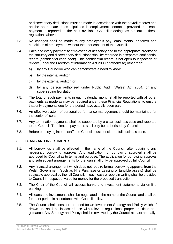or discretionary deductions must be made in accordance with the payroll records and on the appropriate dates stipulated in employment contracts, provided that each payment is reported to the next available Council meeting, as set out in these regulations above.

- 7.3. No changes shall be made to any employee's pay, emoluments, or terms and conditions of employment without the prior consent of the Council.
- 7.4. Each and every payment to employees of net salary and to the appropriate creditor of the statutory and discretionary deductions shall be recorded in a separate confidential record (confidential cash book). This confidential record is not open to inspection or review (under the Freedom of Information Act 2000 or otherwise) other than:
	- a) by any Councillor who can demonstrate a need to know;
	- b) by the internal auditor;
	- c) by the external auditor; or
	- d) by any person authorised under Public Audit (Wales) Act 2004, or any superseding legislation.
- 7.5. The total of such payments in each calendar month shall be reported with all other payments as made as may be required under these Financial Regulations, to ensure that only payments due for the period have actually been paid.
- 7.6. An effective system of personal performance management should be maintained for the senior officers.
- 7.7. Any termination payments shall be supported by a clear business case and reported to the Council. Termination payments shall only be authorised by Council.
- 7.8. Before employing interim staff, the Council must consider a full business case.

#### <span id="page-10-0"></span>**8. LOANS AND INVESTMENTS**

- 8.1. All borrowings shall be effected in the name of the Council, after obtaining any necessary borrowing approval. Any application for borrowing approval shall be approved by Council as to terms and purpose. The application for borrowing approval and subsequent arrangements for the loan shall only be approved by full Council.
- 8.2. Any financial arrangement which does not require formal borrowing approval from the Welsh Government (such as Hire Purchase or Leasing of tangible assets) shall be subject to approval by the full Council. In each case a report in writing shall be provided to Council in respect of value for money for the proposed transaction.
- 8.3. The Chair of the Council will access banks and investment statements via on-line banking.
- 8.4. All loans and investments shall be negotiated in the name of the Council and shall be for a set period in accordance with Council policy.
- 8.5. The Council shall consider the need for an Investment Strategy and Policy which, if drawn up, shall be in accordance with relevant regulations, proper practices and guidance. Any Strategy and Policy shall be reviewed by the Council at least annually.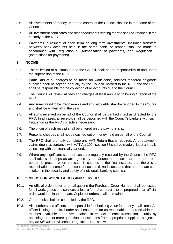- 8.6. All investments of money under the control of the Council shall be in the name of the Council.
- 8.7. All investment certificates and other documents relating thereto shall be retained in the custody of the RFO.
- 8.8. Payments in respect of short term or long term investments, including transfers between bank accounts held in the same bank, or branch, shall be made in accordance with Regulation 5 (Authorisation of payments) and Regulation 6 (Instructions for payments).

#### <span id="page-11-0"></span>**9. INCOME**

- 9.1. The collection of all sums due to the Council shall be the responsibility of and under the supervision of the RFO.
- 9.2. Particulars of all charges to be made for work done, services rendered or goods supplied shall be agreed annually by the Council, notified to the RFO and the RFO shall be responsible for the collection of all accounts due to the Council.
- 9.3. The Council will review all fees and charges at least annually, following a report of the RFO.
- 9.4. Any sums found to be irrecoverable and any bad debts shall be reported to the Council and shall be written off in the year.
- 9.5. All sums received on behalf of the Council shall be banked intact as directed by the RFO. In all cases, all receipts shall be deposited with the Council's bankers with such frequency as the RFO considers necessary.
- 9.6. The origin of each receipt shall be entered on the paying-in slip.
- 9.7. Personal cheques shall not be cashed out of money held on behalf of the Council.
- 9.8. The RFO shall promptly complete any VAT Return that is required. Any repayment claims due in accordance with VAT Act 1994 section 33 shall be made at least annually coinciding with the financial year end.
- 9.9. Where any significant sums of cash are regularly received by the Council, the RFO shall take such steps as are agreed by the Council to ensure that more than one person is present when the cash is counted in the first instance, that there is a reconciliation to some form of control such as ticket issues, and that appropriate care is taken in the security and safety of individuals banking such cash.

#### <span id="page-11-1"></span>**10. ORDERS FOR WORK, GOODS AND SERVICES**

- 10.1. An official order, letter or email quoting the Purchase Order Number shall be issued for all work, goods and services unless a formal contract is to be prepared or an official order would be inappropriate. Copies of orders shall be retained.
- 10.2. Order books shall be controlled by the RFO.
- 10.3. All members and officers are responsible for obtaining value for money at all times. An officer issuing an official order shall ensure as far as reasonable and practicable that the best available terms are obtained in respect of each transaction, usually by obtaining three or more quotations or estimates from appropriate suppliers, subject to any *de Minimis* provisions in Regulation 11.1 below.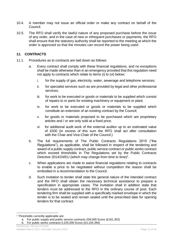- 10.4. A member may not issue an official order or make any contract on behalf of the Council.
- 10.5. The RFO shall verify the lawful nature of any proposed purchase before the issue of any order, and in the case of new or infrequent purchases or payments, the RFO shall ensure that the statutory authority shall be reported to the meeting at which the order is approved so that the minutes can record the power being used.

#### <span id="page-12-0"></span>**11. CONTRACTS**

- 11.1. Procedures as to contracts are laid down as follows:
	- a. Every contract shall comply with these financial regulations, and no exceptions shall be made otherwise than in an emergency provided that this regulation need not apply to contracts which relate to items (i) to (vi) below:
		- i. for the supply of gas, electricity, water, sewerage and telephone services;
		- ii. for specialist services such as are provided by legal and other professional services;
		- iii. for work to be executed or goods or materials to be supplied which consist of repairs to or parts for existing machinery or equipment or plant;
		- iv. for work to be executed or goods or materials to be supplied which constitute an extension of an existing contract by the Council;
		- v. for goods or materials proposed to be purchased which are proprietary articles and / or are only sold at a fixed price.
		- vi. for additional audit work of the external auditor up to an estimated value of £500 (in excess of this sum the RFO shall act after consultation with the Chair and Vice-Chair of the Council.)
	- b. The full requirements of The Public Contracts Regulations 2015 ("the Regulations"), as applicable, shall be followed in respect of the tendering and award of a public supply contract, public service contract or public works contract which exceed thresholds in The Regulations set by the Public Contracts Directive 2014/24/EU (which may change from time to time)<sup>1</sup>.
	- c. When applications are made to waive financial regulations relating to contracts to enable a price to be negotiated without competition the reason shall be embodied in a recommendation to the Council.
	- d. Such invitation to tender shall state the general nature of the intended contract and the RFO shall obtain the necessary technical assistance to prepare a specification in appropriate cases. The invitation shall in addition state that tenders must be addressed to the RFO in the ordinary course of post. Each tendering firm shall be supplied with a specifically marked envelope in which the tender is to be sealed and remain sealed until the prescribed date for opening tenders for that contract.

<sup>1</sup> <sup>1</sup> Thresholds currently applicable are:

a. For public supply and public service contracts 209,000 Euros (£181,302)

b. For public works contracts 5,225,000 Euros (£4,104,394)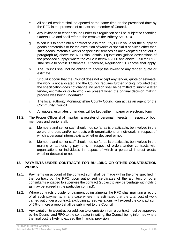- e. All sealed tenders shall be opened at the same time on the prescribed date by the RFO in the presence of at least one member of Council.
- f. Any invitation to tender issued under this regulation shall be subject to Standing Orders 18.d and shall refer to the terms of the Bribery Act 2010.
- g. When it is to enter into a contract of less than £25,000 in value for the supply of goods or materials or for the execution of works or specialist services other than such goods, materials, works or specialist services as are excepted as set out in paragraph (a) above the RFO shall obtain 3 quotations (priced descriptions of the proposed supply); where the value is below £3,000 and above £250 the RFO shall strive to obtain 3 estimates. Otherwise, Regulation 10.3 above shall apply.
- h. The Council shall not be obliged to accept the lowest or any tender, quote or estimate.
- i. Should it occur that the Council does not accept any tender, quote or estimate, the work is not allocated and the Council requires further pricing, provided that the specification does not change, no person shall be permitted to submit a later tender, estimate or quote who was present when the original decision making process was being undertaken.
- j. The local authority Monmouthshire County Council can act as an agent for the Community Council
- k. All quotes, estimates or tenders will be kept either in paper or electronic form
- 11.2. The Proper Officer shall maintain a register of personal interests, in respect of both members and senior staff.
	- a. Members and senior staff should not, so far as is practicable, be involved in the award of orders and/or contracts with organisations or individuals in respect of which a personal interest exists, whether declared or not.
	- b. Members and senior staff should not, so far as is practicable, be involved in the making or authorising payments in respect of orders and/or contracts with organisations or individuals in respect of which a personal interest exists, whether declared or not.

#### <span id="page-13-0"></span>**12. PAYMENTS UNDER CONTRACTS FOR BUILDING OR OTHER CONSTRUCTION WORKS**

- 12.1. Payments on account of the contract sum shall be made within the time specified in the contract by the RFO upon authorised certificates of the architect or other consultants engaged to supervise the contract (subject to any percentage withholding as may be agreed in the particular contract).
- 12.2. Where contracts provide for payment by instalments the RFO shall maintain a record of all such payments. In any case where it is estimated that the total cost of work carried out under a contract, excluding agreed variations, will exceed the contract sum of 5% or more a report shall be submitted to the Council.
- 12.3. Any variation to a contract or addition to or omission from a contract must be approved by the Council and RFO to the contractor in writing, the Council being informed where the final cost is likely to exceed the financial provision.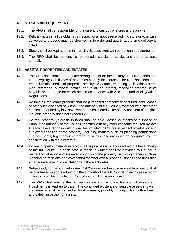#### <span id="page-14-0"></span>**13. STORES AND EQUIPMENT**

- 13.1. The RFO shall be responsible for the care and custody of stores and equipment.
- 13.2. Delivery notes shall be obtained in respect of all goods received into store or otherwise delivered and goods must be checked as to order and quality at the time delivery is made.
- 13.3. Stocks shall be kept at the minimum levels consistent with operational requirements.
- 13.4. The RFO shall be responsible for periodic checks of stocks and stores at least annually.

#### <span id="page-14-1"></span>**14. ASSETS, PROPERTIES AND ESTATES**

- 14.1. The RFO shall make appropriate arrangements for the custody of all title deeds and Land Registry Certificates of properties held by the Council. The RFO shall ensure a record is maintained of all properties held by the Council, recording the location, extent, plan, reference, purchase details, nature of the interest, tenancies granted, rents payable and purpose for which held in accordance with Accounts and Audit (Wales) Regulations.
- 14.2. No tangible moveable property shall be purchased or otherwise acquired, sold, leased or otherwise disposed of, without the authority of the Council, together with any other consents required by law, save where the estimated value of any one item of tangible movable property does not exceed £250.
- 14.3. No real property (interests in land) shall be sold, leased or otherwise disposed of without the authority of the Council, together with any other consents required by law. In each case a report in writing shall be provided to Council in respect of valuation and surveyed condition of the property (including matters such as planning permissions and covenants) together with a proper business case (including an adequate level of consultation with the electorate).
- 14.4. No real property (interests in land) shall be purchased or acquired without the authority of the full Council. In each case a report in writing shall be provided to Council in respect of valuation and surveyed condition of the property (including matters such as planning permissions and covenants) together with a proper business case (including an adequate level of consultation with the electorate).
- 14.5. Subject only to the limit set in Reg. 14.2 above, no tangible moveable property shall be purchased or acquired without the authority of the full Council. In each case a report in writing shall be provided to Council with a full business case.
- <span id="page-14-2"></span>14.6. The RFO shall ensure that an appropriate and accurate Register of Assets and Investments is kept up to date. The continued existence of tangible assets shown in the Register shall be verified at least annually, possibly in conjunction with a health and safety inspection of assets.